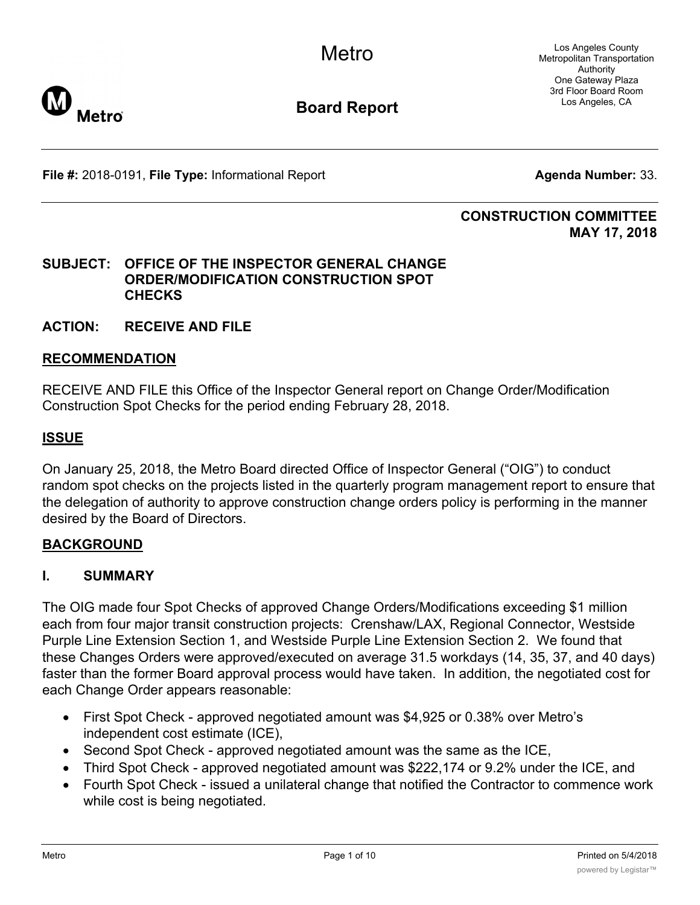**Metro** 

Los Angeles County Metropolitan Transportation Authority One Gateway Plaza 3rd Floor Board Room Los Angeles, CA

**File #:** 2018-0191, File Type: Informational Report **Agents Agenda Number:** 33.

### **CONSTRUCTION COMMITTEE MAY 17, 2018**

### **SUBJECT: OFFICE OF THE INSPECTOR GENERAL CHANGE ORDER/MODIFICATION CONSTRUCTION SPOT CHECKS**

### **ACTION: RECEIVE AND FILE**

### **RECOMMENDATION**

RECEIVE AND FILE this Office of the Inspector General report on Change Order/Modification Construction Spot Checks for the period ending February 28, 2018.

### **ISSUE**

On January 25, 2018, the Metro Board directed Office of Inspector General ("OIG") to conduct random spot checks on the projects listed in the quarterly program management report to ensure that the delegation of authority to approve construction change orders policy is performing in the manner desired by the Board of Directors.

### **BACKGROUND**

## **I. SUMMARY**

The OIG made four Spot Checks of approved Change Orders/Modifications exceeding \$1 million each from four major transit construction projects: Crenshaw/LAX, Regional Connector, Westside Purple Line Extension Section 1, and Westside Purple Line Extension Section 2. We found that these Changes Orders were approved/executed on average 31.5 workdays (14, 35, 37, and 40 days) faster than the former Board approval process would have taken. In addition, the negotiated cost for each Change Order appears reasonable:

- · First Spot Check approved negotiated amount was \$4,925 or 0.38% over Metro's independent cost estimate (ICE),
- Second Spot Check approved negotiated amount was the same as the ICE,
- Third Spot Check approved negotiated amount was \$222,174 or 9.2% under the ICE, and
- · Fourth Spot Check issued a unilateral change that notified the Contractor to commence work while cost is being negotiated.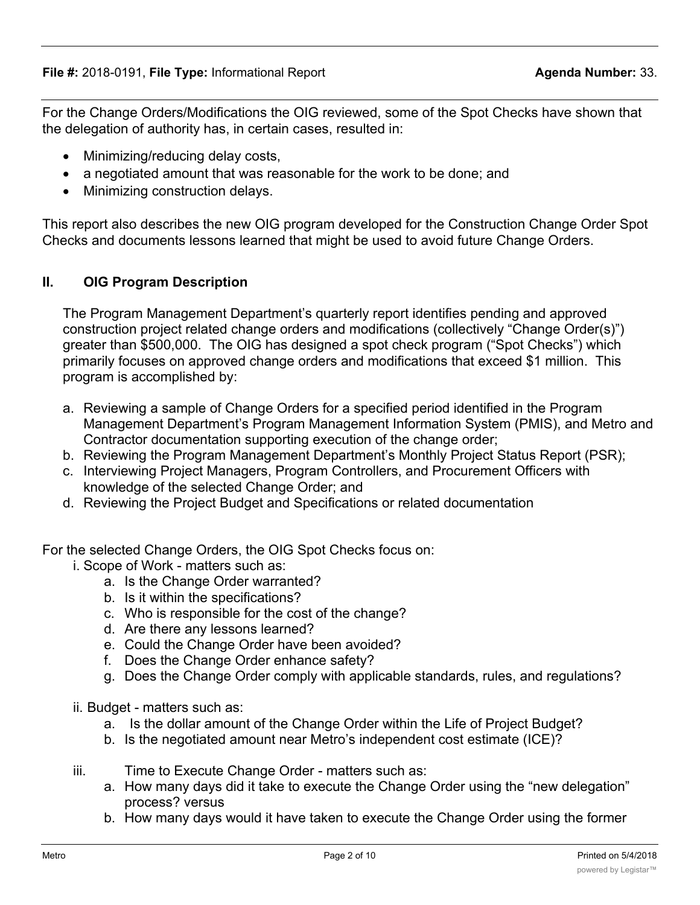For the Change Orders/Modifications the OIG reviewed, some of the Spot Checks have shown that the delegation of authority has, in certain cases, resulted in:

- Minimizing/reducing delay costs,
- a negotiated amount that was reasonable for the work to be done; and
- · Minimizing construction delays.

This report also describes the new OIG program developed for the Construction Change Order Spot Checks and documents lessons learned that might be used to avoid future Change Orders.

## **II. OIG Program Description**

The Program Management Department's quarterly report identifies pending and approved construction project related change orders and modifications (collectively "Change Order(s)") greater than \$500,000. The OIG has designed a spot check program ("Spot Checks") which primarily focuses on approved change orders and modifications that exceed \$1 million. This program is accomplished by:

- a. Reviewing a sample of Change Orders for a specified period identified in the Program Management Department's Program Management Information System (PMIS), and Metro and Contractor documentation supporting execution of the change order;
- b. Reviewing the Program Management Department's Monthly Project Status Report (PSR);
- c. Interviewing Project Managers, Program Controllers, and Procurement Officers with knowledge of the selected Change Order; and
- d. Reviewing the Project Budget and Specifications or related documentation

For the selected Change Orders, the OIG Spot Checks focus on:

- i. Scope of Work matters such as:
	- a. Is the Change Order warranted?
	- b. Is it within the specifications?
	- c. Who is responsible for the cost of the change?
	- d. Are there any lessons learned?
	- e. Could the Change Order have been avoided?
	- f. Does the Change Order enhance safety?
	- g. Does the Change Order comply with applicable standards, rules, and regulations?
- ii. Budget matters such as:
	- a. Is the dollar amount of the Change Order within the Life of Project Budget?
	- b. Is the negotiated amount near Metro's independent cost estimate (ICE)?
- iii. Time to Execute Change Order matters such as:
	- a. How many days did it take to execute the Change Order using the "new delegation" process? versus
	- b. How many days would it have taken to execute the Change Order using the former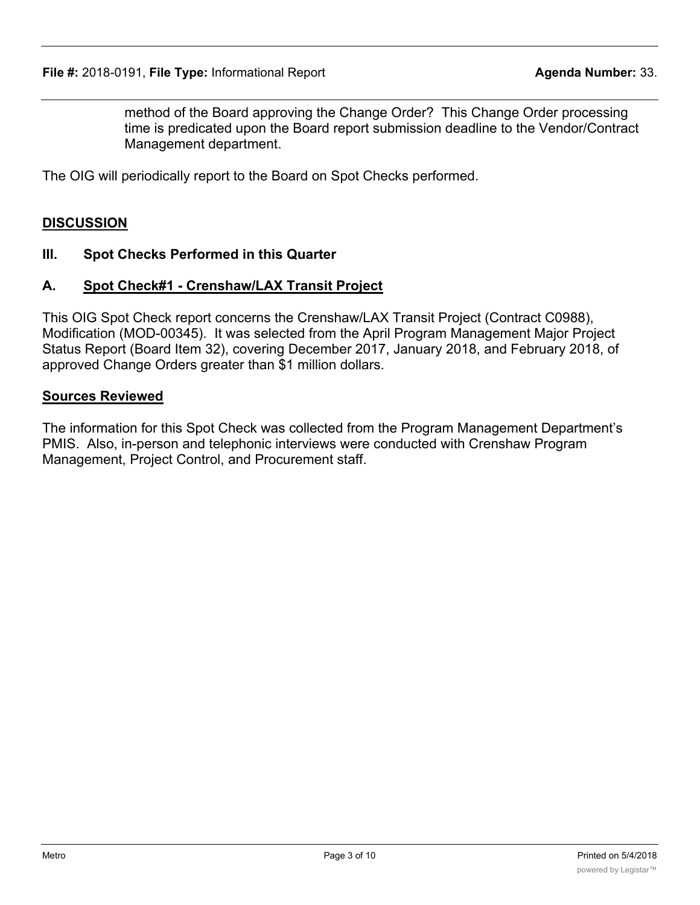method of the Board approving the Change Order? This Change Order processing time is predicated upon the Board report submission deadline to the Vendor/Contract Management department.

The OIG will periodically report to the Board on Spot Checks performed.

### **DISCUSSION**

#### **III. Spot Checks Performed in this Quarter**

#### **A. Spot Check#1 - Crenshaw/LAX Transit Project**

This OIG Spot Check report concerns the Crenshaw/LAX Transit Project (Contract C0988), Modification (MOD-00345). It was selected from the April Program Management Major Project Status Report (Board Item 32), covering December 2017, January 2018, and February 2018, of approved Change Orders greater than \$1 million dollars.

#### **Sources Reviewed**

The information for this Spot Check was collected from the Program Management Department's PMIS. Also, in-person and telephonic interviews were conducted with Crenshaw Program Management, Project Control, and Procurement staff.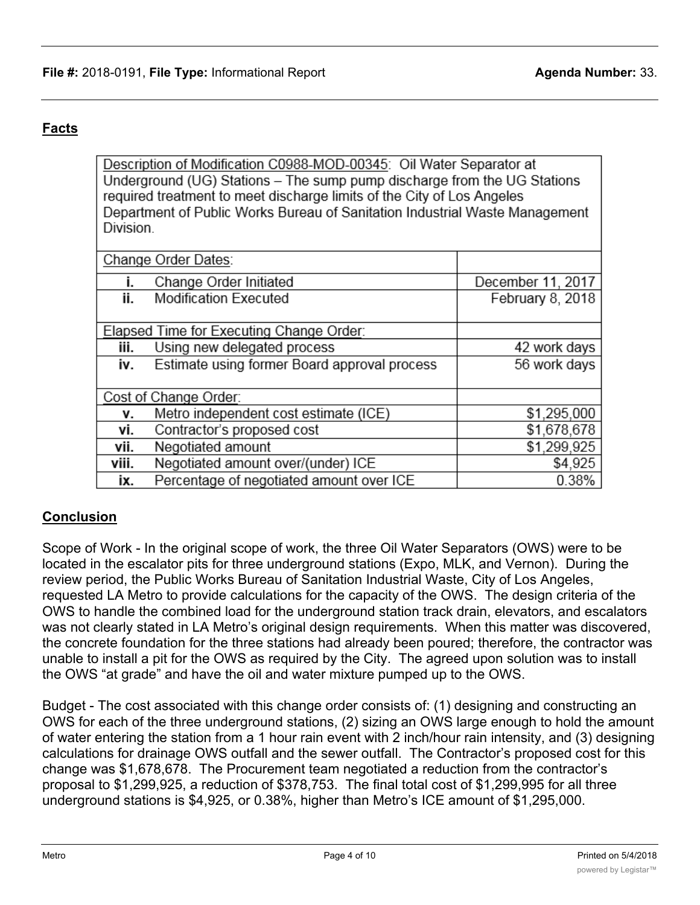# **Facts**

Description of Modification C0988-MOD-00345: Oil Water Separator at Underground (UG) Stations - The sump pump discharge from the UG Stations required treatment to meet discharge limits of the City of Los Angeles Department of Public Works Bureau of Sanitation Industrial Waste Management Division.

|                                          | Change Order Dates:                          |                   |
|------------------------------------------|----------------------------------------------|-------------------|
| İ.                                       | Change Order Initiated                       | December 11, 2017 |
| ii.                                      | Modification Executed                        | February 8, 2018  |
|                                          |                                              |                   |
| Elapsed Time for Executing Change Order: |                                              |                   |
| iii.                                     | Using new delegated process                  | 42 work days      |
| iv.                                      | Estimate using former Board approval process | 56 work days      |
|                                          |                                              |                   |
| Cost of Change Order:                    |                                              |                   |
| ۷.                                       | Metro independent cost estimate (ICE)        | \$1,295,000       |
| vi.                                      | Contractor's proposed cost                   | \$1,678,678       |
| vii.                                     | Negotiated amount                            | \$1,299,925       |
| viii.                                    | Negotiated amount over/(under) ICE           | \$4,925           |
| ix.                                      | Percentage of negotiated amount over ICE     | 0.38%             |

## **Conclusion**

Scope of Work - In the original scope of work, the three Oil Water Separators (OWS) were to be located in the escalator pits for three underground stations (Expo, MLK, and Vernon). During the review period, the Public Works Bureau of Sanitation Industrial Waste, City of Los Angeles, requested LA Metro to provide calculations for the capacity of the OWS. The design criteria of the OWS to handle the combined load for the underground station track drain, elevators, and escalators was not clearly stated in LA Metro's original design requirements. When this matter was discovered, the concrete foundation for the three stations had already been poured; therefore, the contractor was unable to install a pit for the OWS as required by the City. The agreed upon solution was to install the OWS "at grade" and have the oil and water mixture pumped up to the OWS.

Budget - The cost associated with this change order consists of: (1) designing and constructing an OWS for each of the three underground stations, (2) sizing an OWS large enough to hold the amount of water entering the station from a 1 hour rain event with 2 inch/hour rain intensity, and (3) designing calculations for drainage OWS outfall and the sewer outfall. The Contractor's proposed cost for this change was \$1,678,678. The Procurement team negotiated a reduction from the contractor's proposal to \$1,299,925, a reduction of \$378,753. The final total cost of \$1,299,995 for all three underground stations is \$4,925, or 0.38%, higher than Metro's ICE amount of \$1,295,000.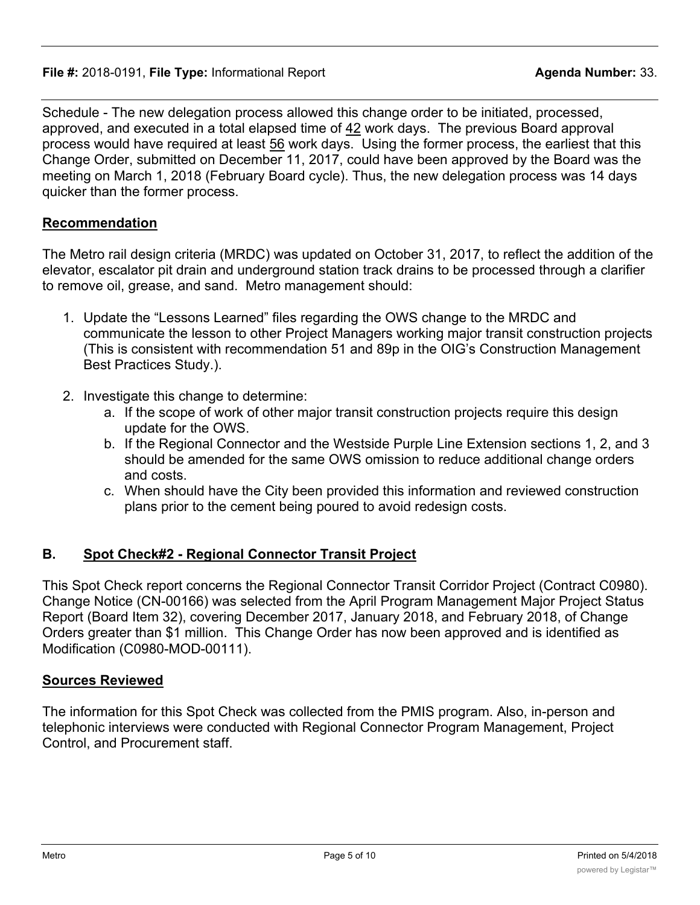Schedule - The new delegation process allowed this change order to be initiated, processed, approved, and executed in a total elapsed time of 42 work days. The previous Board approval process would have required at least 56 work days. Using the former process, the earliest that this Change Order, submitted on December 11, 2017, could have been approved by the Board was the meeting on March 1, 2018 (February Board cycle). Thus, the new delegation process was 14 days quicker than the former process.

### **Recommendation**

The Metro rail design criteria (MRDC) was updated on October 31, 2017, to reflect the addition of the elevator, escalator pit drain and underground station track drains to be processed through a clarifier to remove oil, grease, and sand. Metro management should:

- 1. Update the "Lessons Learned" files regarding the OWS change to the MRDC and communicate the lesson to other Project Managers working major transit construction projects (This is consistent with recommendation 51 and 89p in the OIG's Construction Management Best Practices Study.).
- 2. Investigate this change to determine:
	- a. If the scope of work of other major transit construction projects require this design update for the OWS.
	- b. If the Regional Connector and the Westside Purple Line Extension sections 1, 2, and 3 should be amended for the same OWS omission to reduce additional change orders and costs.
	- c. When should have the City been provided this information and reviewed construction plans prior to the cement being poured to avoid redesign costs.

## **B. Spot Check#2 - Regional Connector Transit Project**

This Spot Check report concerns the Regional Connector Transit Corridor Project (Contract C0980). Change Notice (CN-00166) was selected from the April Program Management Major Project Status Report (Board Item 32), covering December 2017, January 2018, and February 2018, of Change Orders greater than \$1 million. This Change Order has now been approved and is identified as Modification (C0980-MOD-00111).

### **Sources Reviewed**

The information for this Spot Check was collected from the PMIS program. Also, in-person and telephonic interviews were conducted with Regional Connector Program Management, Project Control, and Procurement staff.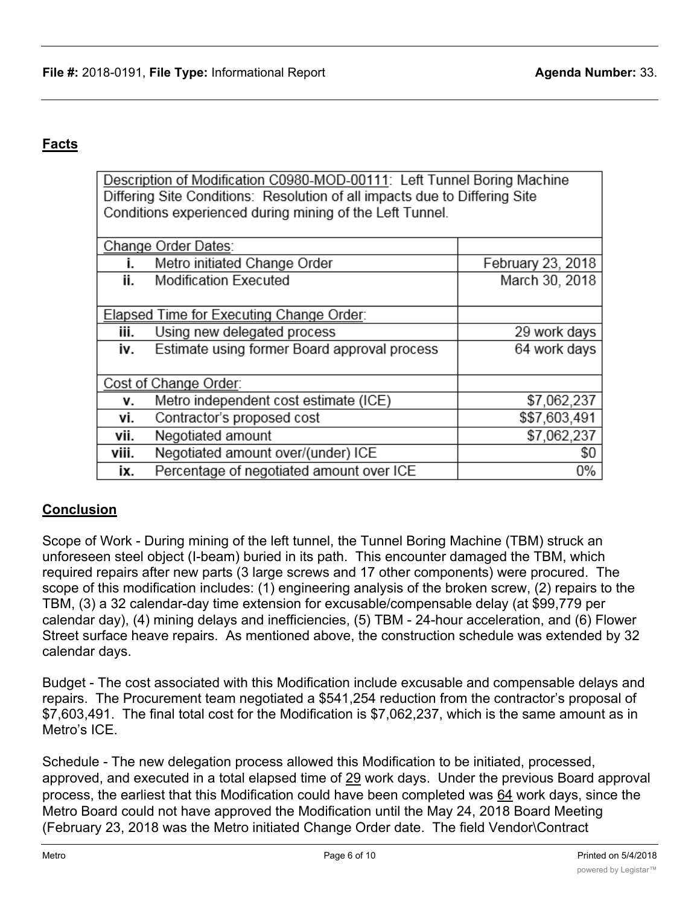# **Facts**

Description of Modification C0980-MOD-00111: Left Tunnel Boring Machine Differing Site Conditions: Resolution of all impacts due to Differing Site Conditions experienced during mining of the Left Tunnel.

| Change Order Dates:                      |                                              |                   |  |  |
|------------------------------------------|----------------------------------------------|-------------------|--|--|
| ı.                                       | Metro initiated Change Order                 | February 23, 2018 |  |  |
| ii.                                      | <b>Modification Executed</b>                 | March 30, 2018    |  |  |
|                                          |                                              |                   |  |  |
| Elapsed Time for Executing Change Order: |                                              |                   |  |  |
| iii.                                     | Using new delegated process                  | 29 work days      |  |  |
| iv.                                      | Estimate using former Board approval process | 64 work days      |  |  |
|                                          |                                              |                   |  |  |
| Cost of Change Order:                    |                                              |                   |  |  |
| ۷.                                       | Metro independent cost estimate (ICE)        | \$7,062,237       |  |  |
| vi.                                      | Contractor's proposed cost                   | \$\$7,603,491     |  |  |
| vii.                                     | Negotiated amount                            | \$7,062,237       |  |  |
| viii.                                    | Negotiated amount over/(under) ICE           | \$0               |  |  |
| ix.                                      | Percentage of negotiated amount over ICE     | 0%                |  |  |

## **Conclusion**

Scope of Work - During mining of the left tunnel, the Tunnel Boring Machine (TBM) struck an unforeseen steel object (I-beam) buried in its path. This encounter damaged the TBM, which required repairs after new parts (3 large screws and 17 other components) were procured. The scope of this modification includes: (1) engineering analysis of the broken screw, (2) repairs to the TBM, (3) a 32 calendar-day time extension for excusable/compensable delay (at \$99,779 per calendar day), (4) mining delays and inefficiencies, (5) TBM - 24-hour acceleration, and (6) Flower Street surface heave repairs. As mentioned above, the construction schedule was extended by 32 calendar days.

Budget - The cost associated with this Modification include excusable and compensable delays and repairs. The Procurement team negotiated a \$541,254 reduction from the contractor's proposal of \$7,603,491. The final total cost for the Modification is \$7,062,237, which is the same amount as in Metro's ICE.

Schedule - The new delegation process allowed this Modification to be initiated, processed, approved, and executed in a total elapsed time of 29 work days. Under the previous Board approval process, the earliest that this Modification could have been completed was 64 work days, since the Metro Board could not have approved the Modification until the May 24, 2018 Board Meeting (February 23, 2018 was the Metro initiated Change Order date. The field Vendor\Contract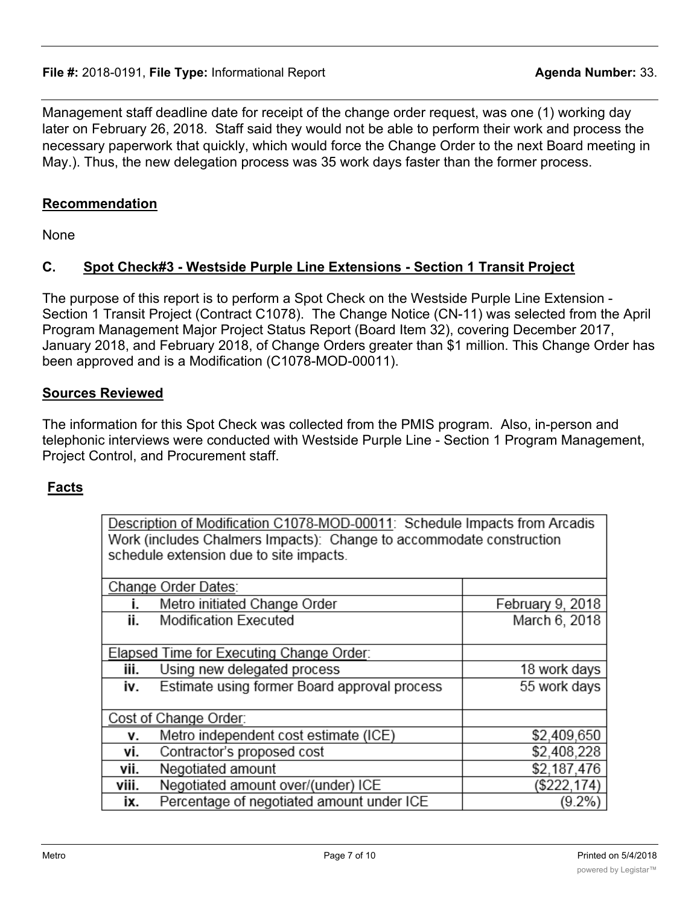### **File #:** 2018-0191, **File Type:** Informational Report **Agent Agent Agenda Number:** 33.

Management staff deadline date for receipt of the change order request, was one (1) working day later on February 26, 2018. Staff said they would not be able to perform their work and process the necessary paperwork that quickly, which would force the Change Order to the next Board meeting in May.). Thus, the new delegation process was 35 work days faster than the former process.

### **Recommendation**

None

## **C. Spot Check#3 - Westside Purple Line Extensions - Section 1 Transit Project**

The purpose of this report is to perform a Spot Check on the Westside Purple Line Extension - Section 1 Transit Project (Contract C1078). The Change Notice (CN-11) was selected from the April Program Management Major Project Status Report (Board Item 32), covering December 2017, January 2018, and February 2018, of Change Orders greater than \$1 million. This Change Order has been approved and is a Modification (C1078-MOD-00011).

### **Sources Reviewed**

The information for this Spot Check was collected from the PMIS program. Also, in-person and telephonic interviews were conducted with Westside Purple Line - Section 1 Program Management, Project Control, and Procurement staff.

## **Facts**

Description of Modification C1078-MOD-00011: Schedule Impacts from Arcadis Work (includes Chalmers Impacts): Change to accommodate construction schedule extension due to site impacts.

| Change Order Dates: |                                              |                  |  |  |
|---------------------|----------------------------------------------|------------------|--|--|
|                     | Metro initiated Change Order                 | February 9, 2018 |  |  |
| ii.                 | <b>Modification Executed</b>                 | March 6, 2018    |  |  |
|                     |                                              |                  |  |  |
|                     | Elapsed Time for Executing Change Order:     |                  |  |  |
| iii.                | Using new delegated process                  | 18 work days     |  |  |
| iv.                 | Estimate using former Board approval process | 55 work days     |  |  |
|                     |                                              |                  |  |  |
|                     | Cost of Change Order:                        |                  |  |  |
| ۷.                  | Metro independent cost estimate (ICE)        | \$2,409,650      |  |  |
| ٧i.                 | Contractor's proposed cost                   | \$2,408,228      |  |  |
| vii.                | Negotiated amount                            | \$2,187,476      |  |  |
| viii.               | Negotiated amount over/(under) ICE           | (\$222, 174)     |  |  |
| ix.                 | Percentage of negotiated amount under ICE    | $(9.2\%)$        |  |  |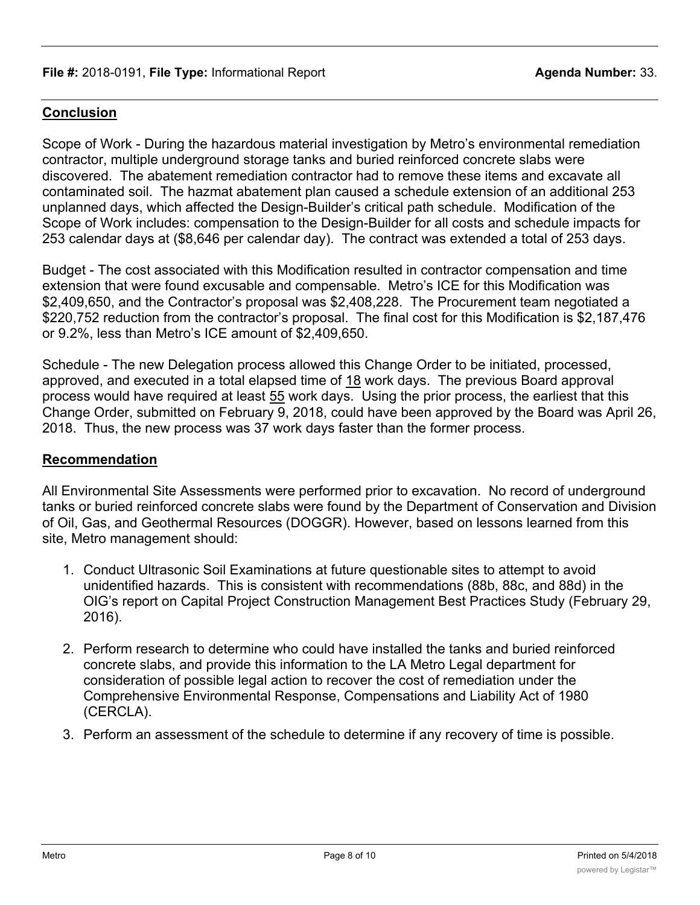## **Conclusion**

Scope of Work - During the hazardous material investigation by Metro's environmental remediation contractor, multiple underground storage tanks and buried reinforced concrete slabs were discovered. The abatement remediation contractor had to remove these items and excavate all contaminated soil. The hazmat abatement plan caused a schedule extension of an additional 253 unplanned days, which affected the Design-Builder's critical path schedule. Modification of the Scope of Work includes: compensation to the Design-Builder for all costs and schedule impacts for 253 calendar days at (\$8,646 per calendar day). The contract was extended a total of 253 days.

Budget - The cost associated with this Modification resulted in contractor compensation and time extension that were found excusable and compensable. Metro's ICE for this Modification was \$2,409,650, and the Contractor's proposal was \$2,408,228. The Procurement team negotiated a \$220,752 reduction from the contractor's proposal. The final cost for this Modification is \$2,187,476 or 9.2%, less than Metro's ICE amount of \$2,409,650.

Schedule - The new Delegation process allowed this Change Order to be initiated, processed, approved, and executed in a total elapsed time of 18 work days. The previous Board approval process would have required at least 55 work days. Using the prior process, the earliest that this Change Order, submitted on February 9, 2018, could have been approved by the Board was April 26, 2018. Thus, the new process was 37 work days faster than the former process.

### **Recommendation**

All Environmental Site Assessments were performed prior to excavation. No record of underground tanks or buried reinforced concrete slabs were found by the Department of Conservation and Division of Oil, Gas, and Geothermal Resources (DOGGR). However, based on lessons learned from this site, Metro management should:

- 1. Conduct Ultrasonic Soil Examinations at future questionable sites to attempt to avoid unidentified hazards. This is consistent with recommendations (88b, 88c, and 88d) in the OIG's report on Capital Project Construction Management Best Practices Study (February 29, 2016).
- 2. Perform research to determine who could have installed the tanks and buried reinforced concrete slabs, and provide this information to the LA Metro Legal department for consideration of possible legal action to recover the cost of remediation under the Comprehensive Environmental Response, Compensations and Liability Act of 1980 (CERCLA).
- 3. Perform an assessment of the schedule to determine if any recovery of time is possible.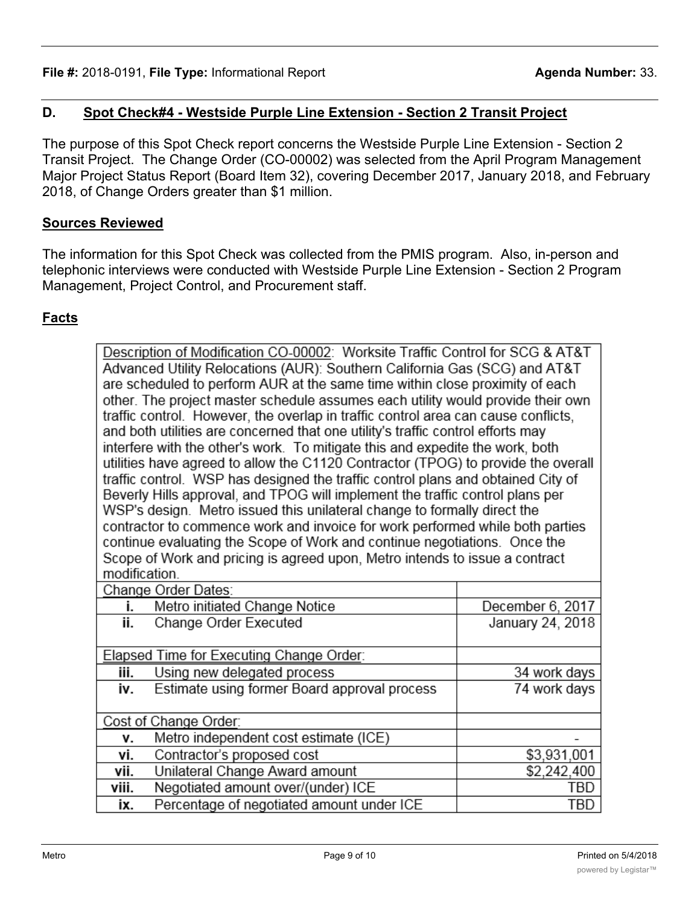# **D. Spot Check#4 - Westside Purple Line Extension - Section 2 Transit Project**

The purpose of this Spot Check report concerns the Westside Purple Line Extension - Section 2 Transit Project. The Change Order (CO-00002) was selected from the April Program Management Major Project Status Report (Board Item 32), covering December 2017, January 2018, and February 2018, of Change Orders greater than \$1 million.

## **Sources Reviewed**

The information for this Spot Check was collected from the PMIS program. Also, in-person and telephonic interviews were conducted with Westside Purple Line Extension - Section 2 Program Management, Project Control, and Procurement staff.

## **Facts**

|                                                                                 | Description of Modification CO-00002: Worksite Traffic Control for SCG & AT&T      |                  |  |  |  |
|---------------------------------------------------------------------------------|------------------------------------------------------------------------------------|------------------|--|--|--|
| Advanced Utility Relocations (AUR): Southern California Gas (SCG) and AT&T      |                                                                                    |                  |  |  |  |
|                                                                                 | are scheduled to perform AUR at the same time within close proximity of each       |                  |  |  |  |
|                                                                                 | other. The project master schedule assumes each utility would provide their own    |                  |  |  |  |
|                                                                                 | traffic control. However, the overlap in traffic control area can cause conflicts, |                  |  |  |  |
| and both utilities are concerned that one utility's traffic control efforts may |                                                                                    |                  |  |  |  |
|                                                                                 | interfere with the other's work. To mitigate this and expedite the work, both      |                  |  |  |  |
|                                                                                 | utilities have agreed to allow the C1120 Contractor (TPOG) to provide the overall  |                  |  |  |  |
|                                                                                 | traffic control. WSP has designed the traffic control plans and obtained City of   |                  |  |  |  |
|                                                                                 | Beverly Hills approval, and TPOG will implement the traffic control plans per      |                  |  |  |  |
|                                                                                 | WSP's design. Metro issued this unilateral change to formally direct the           |                  |  |  |  |
|                                                                                 | contractor to commence work and invoice for work performed while both parties      |                  |  |  |  |
|                                                                                 | continue evaluating the Scope of Work and continue negotiations. Once the          |                  |  |  |  |
|                                                                                 | Scope of Work and pricing is agreed upon, Metro intends to issue a contract        |                  |  |  |  |
| modification.                                                                   |                                                                                    |                  |  |  |  |
| Change Order Dates:                                                             |                                                                                    |                  |  |  |  |
| i.                                                                              | Metro initiated Change Notice                                                      | December 6, 2017 |  |  |  |
| ii.                                                                             | Change Order Executed                                                              | January 24, 2018 |  |  |  |
|                                                                                 |                                                                                    |                  |  |  |  |
|                                                                                 | Elapsed Time for Executing Change Order:                                           |                  |  |  |  |
| iii.                                                                            | Using new delegated process                                                        | 34 work days     |  |  |  |
| i۷.                                                                             | Estimate using former Board approval process                                       | 74 work days     |  |  |  |
|                                                                                 |                                                                                    |                  |  |  |  |
| Cost of Change Order:                                                           |                                                                                    |                  |  |  |  |
| ۷.                                                                              | Metro independent cost estimate (ICE)                                              |                  |  |  |  |
| vi.                                                                             | Contractor's proposed cost                                                         | \$3,931,001      |  |  |  |
| vii.                                                                            | Unilateral Change Award amount                                                     | \$2,242,400      |  |  |  |
| viii.                                                                           | Negotiated amount over/(under) ICE                                                 | TBD              |  |  |  |
| ix.                                                                             | Percentage of negotiated amount under ICE                                          | TBD              |  |  |  |